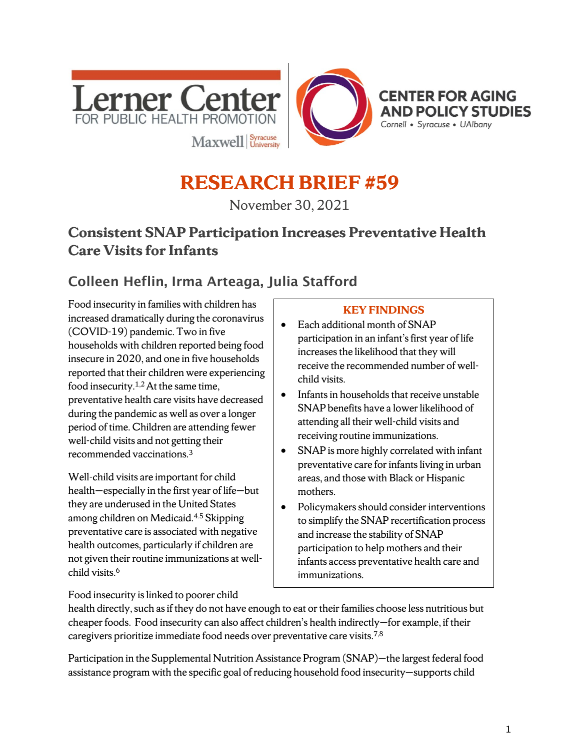



# **RESEARCH BRIEF #59**

November 30, 2021

## **Consistent SNAP Participation Increases Preventative Health Care Visits for Infants**

# Colleen Heflin, Irma Arteaga, Julia Stafford

Food insecurity in families with children has increased dramatically during the coronavirus (COVID-19) pandemic. Two in five households with children reported being food insecure in 2020, and one in five households reported that their children were experiencing food insecurity.1,2 At the same time, preventative health care visits have decreased during the pandemic as well as over a longer period of time. Children are attending fewer well-child visits and not getting their recommended vaccinations. 3

Well-child visits are important for child health—especially in the first year of life—but they are underused in the United States among children on Medicaid.4.5 Skipping preventative care is associated with negative health outcomes, particularly if children are not given their routine immunizations at wellchild visits. 6

#### **KEY FINDINGS**

- Each additional month of SNAP participation in an infant's first year of life increases the likelihood that they will receive the recommended number of wellchild visits.
- Infants in households that receive unstable SNAP benefits have a lower likelihood of attending all their well-child visits and receiving routine immunizations.
- SNAP is more highly correlated with infant preventative care for infants living in urban areas, and those with Black or Hispanic mothers.
- Policymakers should consider interventions to simplify the SNAP recertification process and increase the stability of SNAP participation to help mothers and their infants access preventative health care and immunizations.

Food insecurity is linked to poorer child

health directly, such as if they do not have enough to eat or their families choose less nutritious but cheaper foods. Food insecurity can also affect children's health indirectly—for example, if their caregivers prioritize immediate food needs over preventative care visits.7,8

Participation in the Supplemental Nutrition Assistance Program (SNAP)—the largest federal food assistance program with the specific goal of reducing household food insecurity—supports child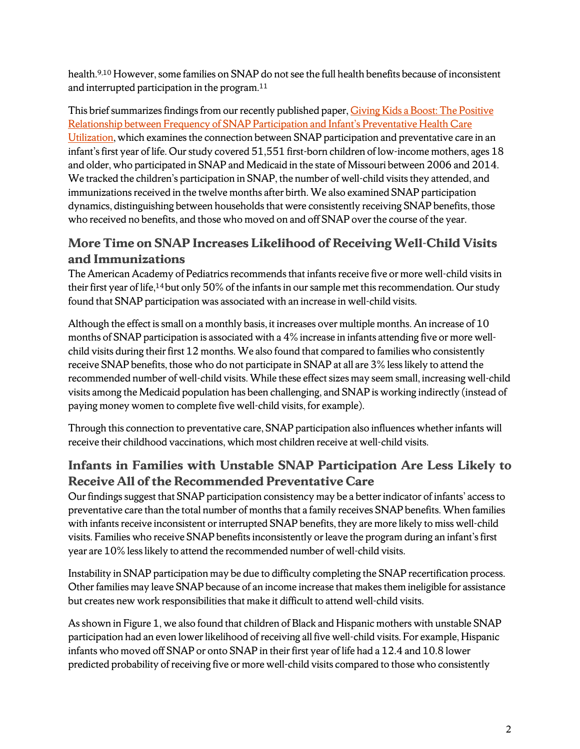health.9,10 However, some families on SNAP do not see the full health benefits because of inconsistent and interrupted participation in the program.11

This brief summarizes findings from our recently published paper, Giving Kids a Boost: The Positive [Relationship between Frequency of SNAP Participation and Infant's Preventative Health Care](https://doi.org/10.1016/j.ssmph.2021.100910)  [Utilization,](https://doi.org/10.1016/j.ssmph.2021.100910) which examines the connection between SNAP participation and preventative care in an infant's first year of life. Our study covered 51,551 first-born children of low-income mothers, ages 18 and older, who participated in SNAP and Medicaid in the state of Missouri between 2006 and 2014. We tracked the children's participation in SNAP, the number of well-child visits they attended, and immunizations received in the twelve months after birth. We also examined SNAP participation dynamics, distinguishing between households that were consistently receiving SNAP benefits, those who received no benefits, and those who moved on and off SNAP over the course of the year.

#### **More Time on SNAP Increases Likelihood of Receiving Well-Child Visits and Immunizations**

The American Academy of Pediatrics recommends that infants receive five or more well-child visits in their first year of life,<sup>14</sup> but only 50% of the infants in our sample met this recommendation. Our study found that SNAP participation was associated with an increase in well-child visits.

Although the effect is small on a monthly basis, it increases over multiple months. An increase of 10 months of SNAP participation is associated with a 4% increase in infants attending five or more wellchild visits during their first 12 months. We also found that compared to families who consistently receive SNAP benefits, those who do not participate in SNAP at all are 3% less likely to attend the recommended number of well-child visits. While these effect sizes may seem small, increasing well-child visits among the Medicaid population has been challenging, and SNAP is working indirectly (instead of paying money women to complete five well-child visits, for example).

Through this connection to preventative care, SNAP participation also influences whether infants will receive their childhood vaccinations, which most children receive at well-child visits.

#### **Infants in Families with Unstable SNAP Participation Are Less Likely to Receive All of the Recommended Preventative Care**

Our findings suggest that SNAP participation consistency may be a better indicator of infants' access to preventative care than the total number of months that a family receives SNAP benefits. When families with infants receive inconsistent or interrupted SNAP benefits, they are more likely to miss well-child visits. Families who receive SNAP benefits inconsistently or leave the program during an infant's first year are 10% less likely to attend the recommended number of well-child visits.

Instability in SNAP participation may be due to difficulty completing the SNAP recertification process. Other families may leave SNAP because of an income increase that makes them ineligible for assistance but creates new work responsibilities that make it difficult to attend well-child visits.

As shown in Figure 1, we also found that children of Black and Hispanic mothers with unstable SNAP participation had an even lower likelihood of receiving all five well-child visits. For example, Hispanic infants who moved off SNAP or onto SNAP in their first year of life had a 12.4 and 10.8 lower predicted probability of receiving five or more well-child visits compared to those who consistently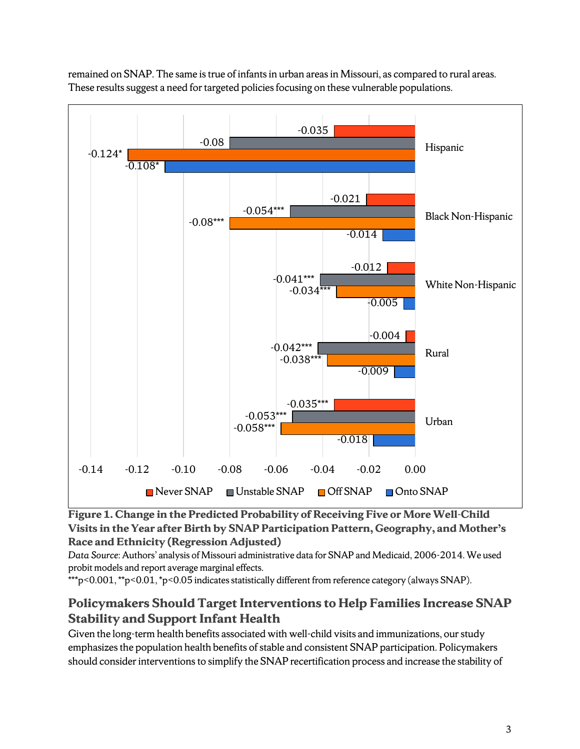remained on SNAP. The same is true of infants in urban areas in Missouri, as compared to rural areas. These results suggest a need for targeted policies focusing on these vulnerable populations.



**Figure 1. Change in the Predicted Probability of Receiving Five or More Well-Child Visits in the Year after Birth by SNAP Participation Pattern, Geography, and Mother's Race and Ethnicity (Regression Adjusted)**

*Data Source*: Authors' analysis of Missouri administrative data for SNAP and Medicaid, 2006-2014. We used probit models and report average marginal effects.

\*\*\*p<0.001, \*\*p<0.01, \*p<0.05 indicates statistically different from reference category (always SNAP).

#### **Policymakers Should Target Interventions to Help Families Increase SNAP Stability and Support Infant Health**

Given the long-term health benefits associated with well-child visits and immunizations, our study emphasizes the population health benefits of stable and consistent SNAP participation. Policymakers should consider interventions to simplify the SNAP recertification process and increase the stability of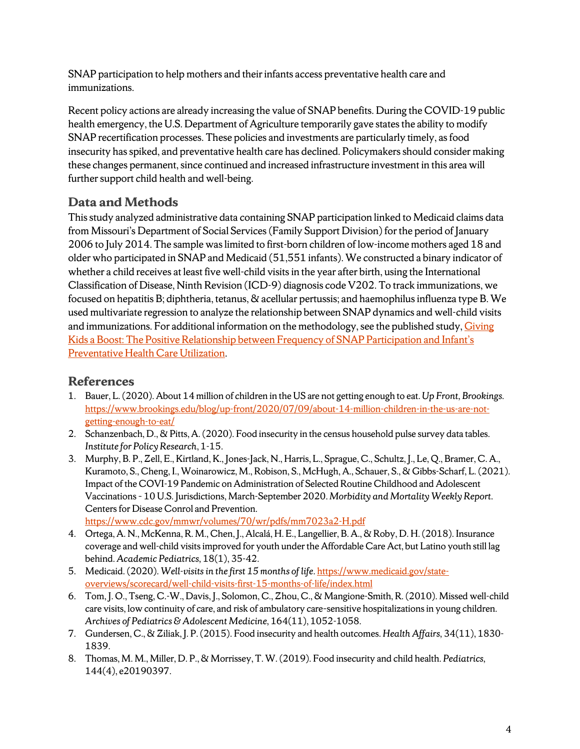SNAP participation to help mothers and their infants access preventative health care and immunizations.

Recent policy actions are already increasing the value of SNAP benefits. During the COVID-19 public health emergency, the U.S. Department of Agriculture temporarily gave states the ability to modify SNAP recertification processes. These policies and investments are particularly timely, as food insecurity has spiked, and preventative health care has declined. Policymakers should consider making these changes permanent, since continued and increased infrastructure investment in this area will further support child health and well-being.

#### **Data and Methods**

This study analyzed administrative data containing SNAP participation linked to Medicaid claims data from Missouri's Department of Social Services (Family Support Division) for the period of January 2006 to July 2014. The sample was limited to first-born children of low-income mothers aged 18 and older who participated in SNAP and Medicaid (51,551 infants). We constructed a binary indicator of whether a child receives at least five well-child visits in the year after birth, using the International Classification of Disease, Ninth Revision (ICD-9) diagnosis code V202. To track immunizations, we focused on hepatitis B; diphtheria, tetanus, & acellular pertussis; and haemophilus influenza type B. We used multivariate regression to analyze the relationship between SNAP dynamics and well-child visits and immunizations. For additional information on the methodology, see the published study, Giving [Kids a Boost: The Positive Relationship between Frequency of SNAP Participation and Infant's](https://doi.org/10.1016/j.ssmph.2021.100910)  [Preventative Health Care Utilization.](https://doi.org/10.1016/j.ssmph.2021.100910)

## **References**

- 1. Bauer, L. (2020). About 14 million of children in the US are not getting enough to eat. *Up Front, Brookings.* [https://www.brookings.edu/blog/up-front/2020/07/09/about-14-million-children-in-the-us-are-not](https://www.brookings.edu/blog/up-front/2020/07/09/about-14-million-children-in-the-us-are-not-getting-enough-to-eat/)[getting-enough-to-eat/](https://www.brookings.edu/blog/up-front/2020/07/09/about-14-million-children-in-the-us-are-not-getting-enough-to-eat/)
- 2. Schanzenbach, D., & Pitts, A. (2020). Food insecurity in the census household pulse survey data tables. *Institute for Policy Research*, 1-15.
- 3. Murphy, B. P., Zell, E., Kirtland, K., Jones-Jack, N., Harris, L., Sprague, C., Schultz, J., Le, Q., Bramer, C. A., Kuramoto, S., Cheng, I., Woinarowicz, M., Robison, S., McHugh, A., Schauer, S., & Gibbs-Scharf, L. (2021). Impact of the COVI-19 Pandemic on Administration of Selected Routine Childhood and Adolescent Vaccinations – 10 U.S. Jurisdictions, March-September 2020. *Morbidity and Mortality Weekly Report*. Centers for Disease Conrol and Prevention. <https://www.cdc.gov/mmwr/volumes/70/wr/pdfs/mm7023a2-H.pdf>

4. Ortega, A. N., McKenna, R. M., Chen, J., Alcalá, H. E., Langellier, B. A., & Roby, D. H. (2018). Insurance coverage and well-child visits improved for youth under the Affordable Care Act, but Latino youth still lag

- behind. *Academic Pediatrics,* 18(1), 35-42. 5. Medicaid. (2020). *Well-visits in the first 15 months of life*. [https://www.medicaid.gov/state](https://www.medicaid.gov/state-overviews/scorecard/well-child-visits-first-15-months-of-life/index.html)[overviews/scorecard/well-child-visits-first-15-months-of-life/index.html](https://www.medicaid.gov/state-overviews/scorecard/well-child-visits-first-15-months-of-life/index.html)
- 6. Tom, J. O., Tseng, C.-W., Davis, J., Solomon, C., Zhou, C., & Mangione-Smith, R. (2010). Missed well-child care visits, low continuity of care, and risk of ambulatory care–sensitive hospitalizations in young children. *Archives of Pediatrics & Adolescent Medicine,* 164(11), 1052-1058.
- 7. Gundersen, C., & Ziliak, J. P. (2015). Food insecurity and health outcomes. *Health Affairs,* 34(11), 1830- 1839.
- 8. Thomas, M. M., Miller, D. P., & Morrissey, T. W. (2019). Food insecurity and child health. *Pediatrics,* 144(4), e20190397.